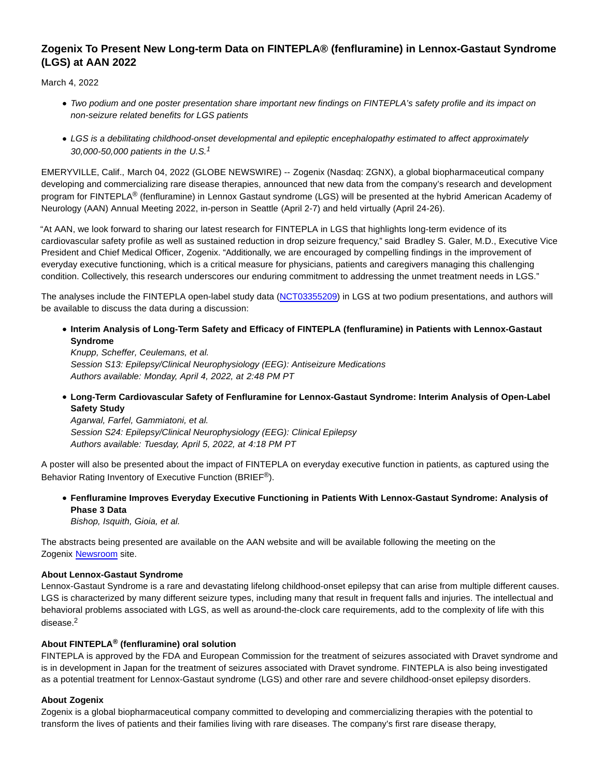# **Zogenix To Present New Long-term Data on FINTEPLA® (fenfluramine) in Lennox-Gastaut Syndrome (LGS) at AAN 2022**

March 4, 2022

- Two podium and one poster presentation share important new findings on FINTEPLA's safety profile and its impact on non-seizure related benefits for LGS patients
- LGS is a debilitating childhood-onset developmental and epileptic encephalopathy estimated to affect approximately 30,000-50,000 patients in the U.S.<sup>1</sup>

EMERYVILLE, Calif., March 04, 2022 (GLOBE NEWSWIRE) -- Zogenix (Nasdaq: ZGNX), a global biopharmaceutical company developing and commercializing rare disease therapies, announced that new data from the company's research and development program for FINTEPLA® (fenfluramine) in Lennox Gastaut syndrome (LGS) will be presented at the hybrid American Academy of Neurology (AAN) Annual Meeting 2022, in-person in Seattle (April 2-7) and held virtually (April 24-26).

"At AAN, we look forward to sharing our latest research for FINTEPLA in LGS that highlights long-term evidence of its cardiovascular safety profile as well as sustained reduction in drop seizure frequency," said Bradley S. Galer, M.D., Executive Vice President and Chief Medical Officer, Zogenix. "Additionally, we are encouraged by compelling findings in the improvement of everyday executive functioning, which is a critical measure for physicians, patients and caregivers managing this challenging condition. Collectively, this research underscores our enduring commitment to addressing the unmet treatment needs in LGS."

The analyses include the FINTEPLA open-label study data [\(NCT03355209\)](https://www.globenewswire.com/Tracker?data=JdWM-ZuzzxYcMcdgC4q07EA3n3czueQpHqo3e_a0QydTZGVfVSUzKEpLqGDOb7fV-ePpqJUkahtUxR2PTDrJZTwR4AoocHDxFClSme_mewo=) in LGS at two podium presentations, and authors will be available to discuss the data during a discussion:

**Interim Analysis of Long-Term Safety and Efficacy of FINTEPLA (fenfluramine) in Patients with Lennox-Gastaut Syndrome**

Knupp, Scheffer, Ceulemans, et al. Session S13: Epilepsy/Clinical Neurophysiology (EEG): Antiseizure Medications Authors available: Monday, April 4, 2022, at 2:48 PM PT

**Long-Term Cardiovascular Safety of Fenfluramine for Lennox-Gastaut Syndrome: Interim Analysis of Open-Label Safety Study**

Agarwal, Farfel, Gammiatoni, et al. Session S24: Epilepsy/Clinical Neurophysiology (EEG): Clinical Epilepsy Authors available: Tuesday, April 5, 2022, at 4:18 PM PT

A poster will also be presented about the impact of FINTEPLA on everyday executive function in patients, as captured using the Behavior Rating Inventory of Executive Function (BRIEF®).

## **Fenfluramine Improves Everyday Executive Functioning in Patients With Lennox-Gastaut Syndrome: Analysis of Phase 3 Data**

Bishop, Isquith, Gioia, et al.

The abstracts being presented are available on the AAN website and will be available following the meeting on the Zogenix [Newsroom s](https://www.globenewswire.com/Tracker?data=mPLlSh5xEhyLpuOaY56ocHk-C5DLkr7btopLDQGvKNpRKYDZ6zwglGEtijek99-L0qVRByJD61SBJ6gAR8Vox7F18giEM3jECvL_JUYUXdQmVPgiZCnQy2fPQFg8SgoqT-01gOnFuY9VAINXVMJyZA==)ite.

## **About Lennox-Gastaut Syndrome**

Lennox-Gastaut Syndrome is a rare and devastating lifelong childhood-onset epilepsy that can arise from multiple different causes. LGS is characterized by many different seizure types, including many that result in frequent falls and injuries. The intellectual and behavioral problems associated with LGS, as well as around-the-clock care requirements, add to the complexity of life with this disease.<sup>2</sup>

## **About FINTEPLA® (fenfluramine) oral solution**

FINTEPLA is approved by the FDA and European Commission for the treatment of seizures associated with Dravet syndrome and is in development in Japan for the treatment of seizures associated with Dravet syndrome. FINTEPLA is also being investigated as a potential treatment for Lennox-Gastaut syndrome (LGS) and other rare and severe childhood-onset epilepsy disorders.

## **About Zogenix**

Zogenix is a global biopharmaceutical company committed to developing and commercializing therapies with the potential to transform the lives of patients and their families living with rare diseases. The company's first rare disease therapy,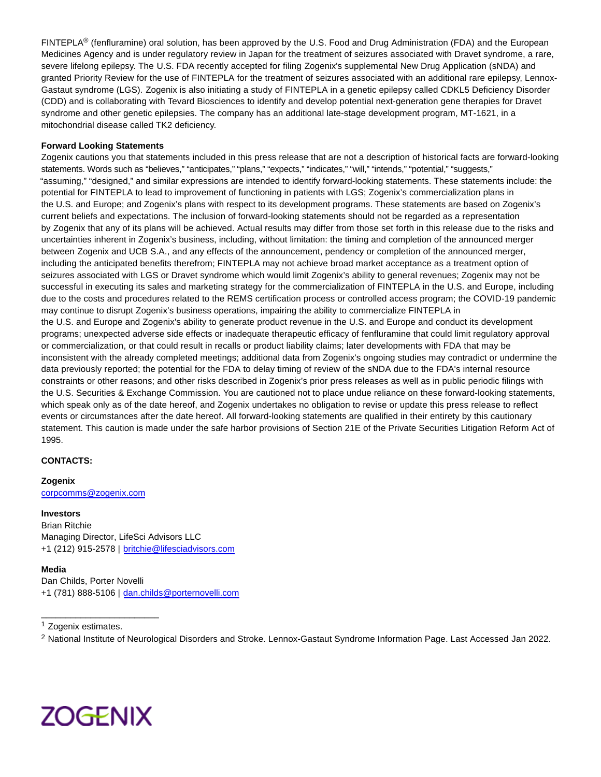FINTEPLA<sup>®</sup> (fenfluramine) oral solution, has been approved by the U.S. Food and Drug Administration (FDA) and the European Medicines Agency and is under regulatory review in Japan for the treatment of seizures associated with Dravet syndrome, a rare, severe lifelong epilepsy. The U.S. FDA recently accepted for filing Zogenix's supplemental New Drug Application (sNDA) and granted Priority Review for the use of FINTEPLA for the treatment of seizures associated with an additional rare epilepsy, Lennox-Gastaut syndrome (LGS). Zogenix is also initiating a study of FINTEPLA in a genetic epilepsy called CDKL5 Deficiency Disorder (CDD) and is collaborating with Tevard Biosciences to identify and develop potential next-generation gene therapies for Dravet syndrome and other genetic epilepsies. The company has an additional late-stage development program, MT-1621, in a mitochondrial disease called TK2 deficiency.

#### **Forward Looking Statements**

Zogenix cautions you that statements included in this press release that are not a description of historical facts are forward-looking statements. Words such as "believes," "anticipates," "plans," "expects," "indicates," "will," "intends," "potential," "suggests," "assuming," "designed," and similar expressions are intended to identify forward-looking statements. These statements include: the potential for FINTEPLA to lead to improvement of functioning in patients with LGS; Zogenix's commercialization plans in the U.S. and Europe; and Zogenix's plans with respect to its development programs. These statements are based on Zogenix's current beliefs and expectations. The inclusion of forward-looking statements should not be regarded as a representation by Zogenix that any of its plans will be achieved. Actual results may differ from those set forth in this release due to the risks and uncertainties inherent in Zogenix's business, including, without limitation: the timing and completion of the announced merger between Zogenix and UCB S.A., and any effects of the announcement, pendency or completion of the announced merger, including the anticipated benefits therefrom; FINTEPLA may not achieve broad market acceptance as a treatment option of seizures associated with LGS or Dravet syndrome which would limit Zogenix's ability to general revenues; Zogenix may not be successful in executing its sales and marketing strategy for the commercialization of FINTEPLA in the U.S. and Europe, including due to the costs and procedures related to the REMS certification process or controlled access program; the COVID-19 pandemic may continue to disrupt Zogenix's business operations, impairing the ability to commercialize FINTEPLA in the U.S. and Europe and Zogenix's ability to generate product revenue in the U.S. and Europe and conduct its development programs; unexpected adverse side effects or inadequate therapeutic efficacy of fenfluramine that could limit regulatory approval or commercialization, or that could result in recalls or product liability claims; later developments with FDA that may be inconsistent with the already completed meetings; additional data from Zogenix's ongoing studies may contradict or undermine the data previously reported; the potential for the FDA to delay timing of review of the sNDA due to the FDA's internal resource constraints or other reasons; and other risks described in Zogenix's prior press releases as well as in public periodic filings with the U.S. Securities & Exchange Commission. You are cautioned not to place undue reliance on these forward-looking statements, which speak only as of the date hereof, and Zogenix undertakes no obligation to revise or update this press release to reflect events or circumstances after the date hereof. All forward-looking statements are qualified in their entirety by this cautionary statement. This caution is made under the safe harbor provisions of Section 21E of the Private Securities Litigation Reform Act of 1995.

## **CONTACTS:**

#### **Zogenix**

[corpcomms@zogenix.com](https://www.globenewswire.com/Tracker?data=8WMkMFpd1209DyMvIL63D6eZT-5SigCefudC-aXJOiZrDWv-bK8fyfY7jsC_qw_MHiWqL6rmEuYNOZ3scGqQpBAGhrjbfEFHxwFgahcJfi4=)

#### **Investors**

Brian Ritchie Managing Director, LifeSci Advisors LLC +1 (212) 915-2578 | [britchie@lifesciadvisors.com](https://www.globenewswire.com/Tracker?data=TUTXRHin9GPkU9HTJh6oJbxYcdr0A9cwkkkfQxf2S9TqiiVDM140zOEWvC_w_z8vVwoAS60EiF9cN-2bQcbSL5svArguTJ48Eqtjj3B1rVujvt1XVldz8mX1w6jOheeQ)

#### **Media**

Dan Childs, Porter Novelli +1 (781) 888-5106 | [dan.childs@porternovelli.com](https://www.globenewswire.com/Tracker?data=e9GX0an9qxuNI0oJiPohucGjsNoVBIABUiTdIRO7JmxfQknkBgJVRwTFjJ_R2ZHMx5HfPPe0UN-XkHzw_tYb_Sc28Cea1L3gPH16T6_LD4Zz3nEm-xTUXqR0eRYz4lzL)

<sup>1</sup> Zogenix estimates.

\_\_\_\_\_\_\_\_\_\_\_\_\_\_\_\_\_\_\_\_\_\_\_\_

<sup>2</sup> National Institute of Neurological Disorders and Stroke. Lennox-Gastaut Syndrome Information Page. Last Accessed Jan 2022.